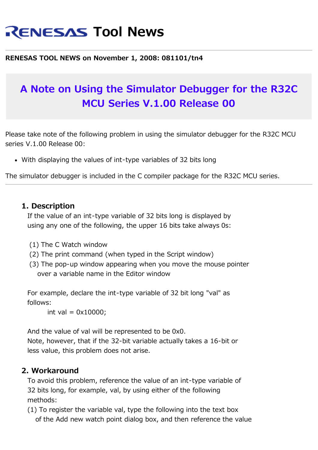# **RENESAS Tool News**

#### **RENESAS TOOL NEWS on November 1, 2008: 081101/tn4**

## **A Note on Using the Simulator Debugger for the R32C MCU Series V.1.00 Release 00**

Please take note of the following problem in using the simulator debugger for the R32C MCU series V.1.00 Release 00:

With displaying the values of int-type variables of 32 bits long

The simulator debugger is included in the C compiler package for the R32C MCU series.

#### **1. Description**

 If the value of an int-type variable of 32 bits long is displayed by using any one of the following, the upper 16 bits take always 0s:

- (1) The C Watch window
- (2) The print command (when typed in the Script window)
- (3) The pop-up window appearing when you move the mouse pointer over a variable name in the Editor window

 For example, declare the int-type variable of 32 bit long "val" as follows:

int val =  $0x10000$ ;

 And the value of val will be represented to be 0x0. Note, however, that if the 32-bit variable actually takes a 16-bit or less value, this problem does not arise.

#### **2. Workaround**

 To avoid this problem, reference the value of an int-type variable of 32 bits long, for example, val, by using either of the following methods:

 (1) To register the variable val, type the following into the text box of the Add new watch point dialog box, and then reference the value